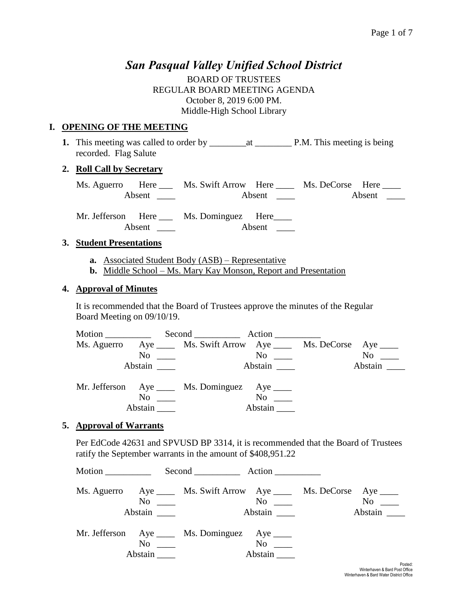# *San Pasqual Valley Unified School District*

BOARD OF TRUSTEES REGULAR BOARD MEETING AGENDA October 8, 2019 6:00 PM. Middle-High School Library

#### **I. OPENING OF THE MEETING**

**1.** This meeting was called to order by \_\_\_\_\_\_\_\_at \_\_\_\_\_\_\_\_ P.M. This meeting is being recorded. Flag Salute

#### **2. Roll Call by Secretary**

| Ms. Aguerro Here |        | Ms. Swift Arrow Here |        | Ms. DeCorse Here |        |
|------------------|--------|----------------------|--------|------------------|--------|
|                  | Absent |                      | Absent |                  | Absent |

Mr. Jefferson Here Ms. Dominguez Here Absent \_\_\_\_ Absent \_\_\_\_

#### **3. Student Presentations**

- **a.** Associated Student Body (ASB) Representative
- **b.** Middle School Ms. Mary Kay Monson, Report and Presentation

#### **4. Approval of Minutes**

It is recommended that the Board of Trustees approve the minutes of the Regular Board Meeting on 09/10/19.

|         | Ms. Aguerro Aye _____ Ms. Swift Arrow Aye _____ Ms. DeCorse Aye ____ |                                           |                  |
|---------|----------------------------------------------------------------------|-------------------------------------------|------------------|
|         | $\overline{N}$ $\overline{\phantom{nn}}$                             | $\overline{N}$ o $\overline{\phantom{0}}$ | $No \ \_$        |
| Abstain |                                                                      | Abstain                                   | Abstain $\qquad$ |
|         | Mr. Jefferson Aye _____ Ms. Dominguez Aye _____                      |                                           |                  |
|         | $\overline{N}$ o $\overline{\phantom{0}}$                            | $No \ \_$                                 |                  |
|         |                                                                      | Abstain                                   |                  |

#### **5. Approval of Warrants**

Per EdCode 42631 and SPVUSD BP 3314, it is recommended that the Board of Trustees ratify the September warrants in the amount of \$408,951.22

| Motion $\_\_$ |                                                      | Second Action                                                                                                       |                                                      |                      |
|---------------|------------------------------------------------------|---------------------------------------------------------------------------------------------------------------------|------------------------------------------------------|----------------------|
|               |                                                      | Ms. Aguerro Aye ______ Ms. Swift Arrow Aye ______ Ms. DeCorse Aye _____<br>$\overline{N}$ $\overline{\phantom{nn}}$ | $\overline{N}$ o $\overline{\phantom{0}}$<br>Abstain | $No \ \_$<br>Abstain |
|               | $\overline{N}$ o $\overline{\phantom{0}}$<br>Abstain | Mr. Jefferson Aye _____ Ms. Dominguez Aye _____                                                                     | $No \t —$<br>Abstain                                 | $D = 1$              |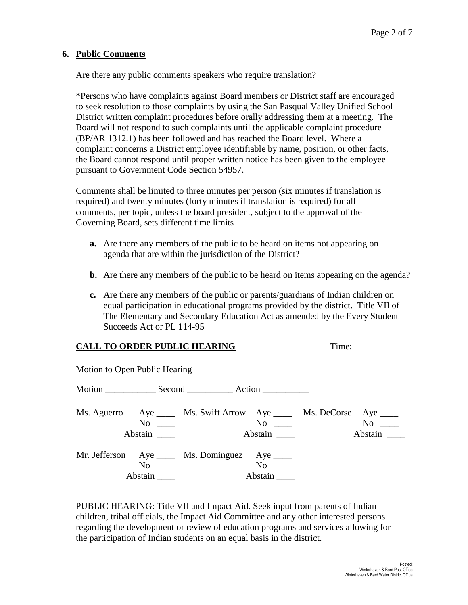#### **6. Public Comments**

Are there any public comments speakers who require translation?

\*Persons who have complaints against Board members or District staff are encouraged to seek resolution to those complaints by using the San Pasqual Valley Unified School District written complaint procedures before orally addressing them at a meeting. The Board will not respond to such complaints until the applicable complaint procedure (BP/AR 1312.1) has been followed and has reached the Board level. Where a complaint concerns a District employee identifiable by name, position, or other facts, the Board cannot respond until proper written notice has been given to the employee pursuant to Government Code Section 54957.

Comments shall be limited to three minutes per person (six minutes if translation is required) and twenty minutes (forty minutes if translation is required) for all comments, per topic, unless the board president, subject to the approval of the Governing Board, sets different time limits

- **a.** Are there any members of the public to be heard on items not appearing on agenda that are within the jurisdiction of the District?
- **b.** Are there any members of the public to be heard on items appearing on the agenda?
- **c.** Are there any members of the public or parents/guardians of Indian children on equal participation in educational programs provided by the district. Title VII of The Elementary and Secondary Education Act as amended by the Every Student Succeeds Act or PL 114-95

#### **CALL TO ORDER PUBLIC HEARING** Time: \_\_\_\_\_\_\_\_\_\_\_

Motion to Open Public Hearing

| $1.10 \text{ m}$ to $0.0011$ and $1.0011$ |                                                                      |                                           |               |
|-------------------------------------------|----------------------------------------------------------------------|-------------------------------------------|---------------|
|                                           | Motion Second Action                                                 |                                           |               |
| $\rm No$<br>Abstain                       | Ms. Aguerro Aye _____ Ms. Swift Arrow Aye _____ Ms. DeCorse Aye ____ | No<br>Abstain                             | No<br>Abstain |
| $No \ \_$<br>Abstain                      | Mr. Jefferson Aye _____ Ms. Dominguez                                | $Aye$ <sub>____</sub><br>No no<br>Abstain |               |

PUBLIC HEARING: Title VII and Impact Aid. Seek input from parents of Indian children, tribal officials, the Impact Aid Committee and any other interested persons regarding the development or review of education programs and services allowing for the participation of Indian students on an equal basis in the district.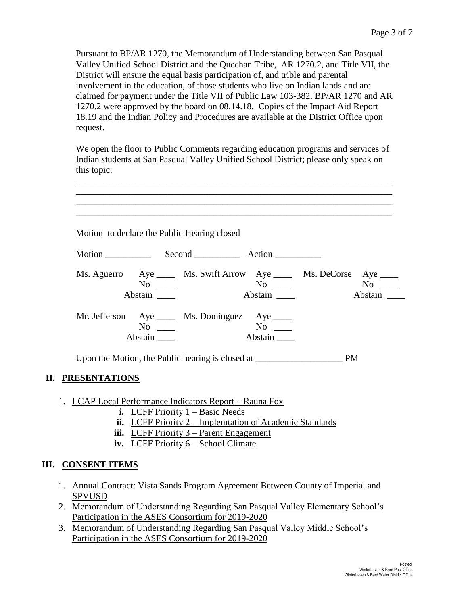Pursuant to BP/AR 1270, the Memorandum of Understanding between San Pasqual Valley Unified School District and the Quechan Tribe, AR 1270.2, and Title VII, the District will ensure the equal basis participation of, and trible and parental involvement in the education, of those students who live on Indian lands and are claimed for payment under the Title VII of Public Law 103-382. BP/AR 1270 and AR 1270.2 were approved by the board on 08.14.18. Copies of the Impact Aid Report 18.19 and the Indian Policy and Procedures are available at the District Office upon request.

We open the floor to Public Comments regarding education programs and services of Indian students at San Pasqual Valley Unified School District; please only speak on this topic:

| Motion to declare the Public Hearing closed |                      |                                                  |                                                          |                                                                                                 |  |
|---------------------------------------------|----------------------|--------------------------------------------------|----------------------------------------------------------|-------------------------------------------------------------------------------------------------|--|
|                                             |                      |                                                  |                                                          |                                                                                                 |  |
|                                             | $No \_\_$<br>Abstain |                                                  | $\overline{N}_{0}$<br>Abstain                            | Ms. Aguerro Aye ______ Ms. Swift Arrow Aye ______ Ms. DeCorse Aye _____<br>$No \ \_$<br>Abstain |  |
|                                             | $No \_\_$<br>Abstain |                                                  | Mr. Jefferson Aye ____ Ms. Dominguez Aye ____<br>Abstain |                                                                                                 |  |
|                                             |                      | Upon the Motion, the Public hearing is closed at |                                                          | <b>PM</b>                                                                                       |  |

#### **II. PRESENTATIONS**

- 1. LCAP Local Performance Indicators Report Rauna Fox
	- **i.** LCFF Priority 1 Basic Needs
	- **ii.** LCFF Priority 2 Implemtation of Academic Standards
	- **iii.** LCFF Priority 3 Parent Engagement
	- **iv.** LCFF Priority 6 School Climate

#### **III. CONSENT ITEMS**

- 1. Annual Contract: Vista Sands Program Agreement Between County of Imperial and SPVUSD
- 2. Memorandum of Understanding Regarding San Pasqual Valley Elementary School's Participation in the ASES Consortium for 2019-2020
- 3. Memorandum of Understanding Regarding San Pasqual Valley Middle School's Participation in the ASES Consortium for 2019-2020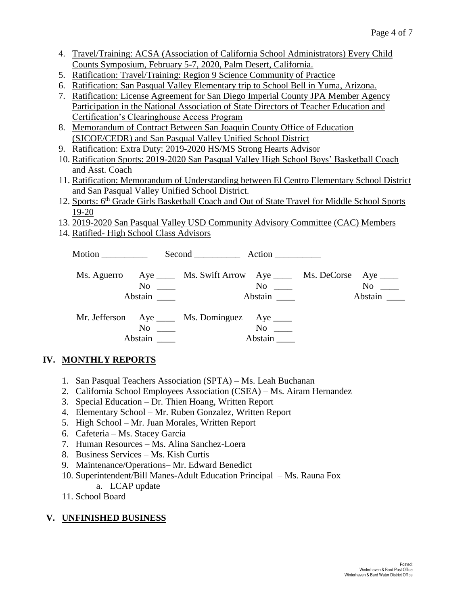- 4. Travel/Training: ACSA (Association of California School Administrators) Every Child Counts Symposium, February 5-7, 2020, Palm Desert, California.
- 5. Ratification: Travel/Training: Region 9 Science Community of Practice
- 6. Ratification: San Pasqual Valley Elementary trip to School Bell in Yuma, Arizona.
- 7. Ratification: License Agreement for San Diego Imperial County JPA Member Agency Participation in the National Association of State Directors of Teacher Education and Certification's Clearinghouse Access Program
- 8. Memorandum of Contract Between San Joaquin County Office of Education (SJCOE/CEDR) and San Pasqual Valley Unified School District
- 9. Ratification: Extra Duty: 2019-2020 HS/MS Strong Hearts Advisor
- 10. Ratification Sports: 2019-2020 San Pasqual Valley High School Boys' Basketball Coach and Asst. Coach
- 11. Ratification: Memorandum of Understanding between El Centro Elementary School District and San Pasqual Valley Unified School District.
- 12. Sports: 6<sup>th</sup> Grade Girls Basketball Coach and Out of State Travel for Middle School Sports 19-20
- 13. 2019-2020 San Pasqual Valley USD Community Advisory Committee (CAC) Members
- 14. Ratified- High School Class Advisors

| Motion ___________ |                                                            | Second Action                                                                                         |                      |                                           |                      |
|--------------------|------------------------------------------------------------|-------------------------------------------------------------------------------------------------------|----------------------|-------------------------------------------|----------------------|
|                    |                                                            | Ms. Aguerro Aye _____ Ms. Swift Arrow Aye _____ Ms. DeCorse Aye ____<br>$\overline{N}$ $\overline{N}$ |                      | $\overline{N}$ o $\overline{\phantom{0}}$ | $No \ \_$<br>Abstain |
|                    | $\overline{\text{No}}$ $\overline{\phantom{a}}$<br>Abstain | Mr. Jefferson Aye _____ Ms. Dominguez Aye _____                                                       | $No \ \_$<br>Abstain |                                           |                      |

# **IV. MONTHLY REPORTS**

- 1. San Pasqual Teachers Association (SPTA) Ms. Leah Buchanan
- 2. California School Employees Association (CSEA) Ms. Airam Hernandez
- 3. Special Education Dr. Thien Hoang, Written Report
- 4. Elementary School Mr. Ruben Gonzalez, Written Report
- 5. High School Mr. Juan Morales, Written Report
- 6. Cafeteria Ms. Stacey Garcia
- 7. Human Resources Ms. Alina Sanchez-Loera
- 8. Business Services Ms. Kish Curtis
- 9. Maintenance/Operations– Mr. Edward Benedict
- 10. Superintendent/Bill Manes-Adult Education Principal Ms. Rauna Fox
	- a. LCAP update
- 11. School Board

### **V. UNFINISHED BUSINESS**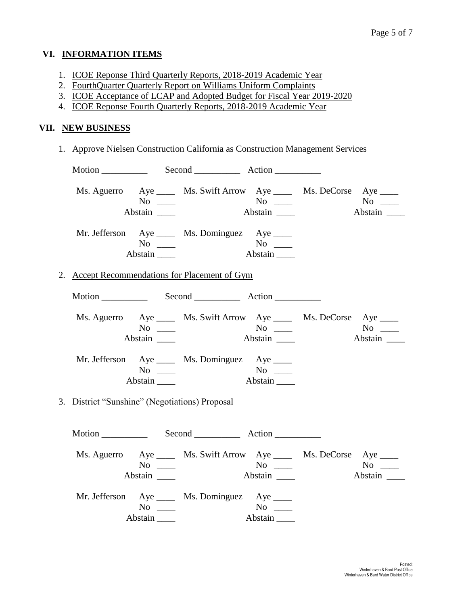#### **VI. INFORMATION ITEMS**

- 1. ICOE Reponse Third Quarterly Reports, 2018-2019 Academic Year
- 2. FourthQuarter Quarterly Report on Williams Uniform Complaints
- 3. ICOE Acceptance of LCAP and Adopted Budget for Fiscal Year 2019-2020
- 4. ICOE Reponse Fourth Quarterly Reports, 2018-2019 Academic Year

#### **VII. NEW BUSINESS**

1. Approve Nielsen Construction California as Construction Management Services

|                                                | $No \ \_$<br>Abstain                                                                                          | Ms. Aguerro Aye ______ Ms. Swift Arrow Aye ______ Ms. DeCorse Aye _____<br>$N$ o $\qquad$ | Abstain              | Abstain                                                                |
|------------------------------------------------|---------------------------------------------------------------------------------------------------------------|-------------------------------------------------------------------------------------------|----------------------|------------------------------------------------------------------------|
|                                                | No $\frac{1}{\sqrt{1-\frac{1}{2}}\sqrt{1-\frac{1}{2}}\left(\frac{1}{\sqrt{1-\frac{1}{2}}}\right)}$<br>Abstain | Mr. Jefferson Aye _____ Ms. Dominguez Aye _____                                           |                      |                                                                        |
|                                                |                                                                                                               | 2. Accept Recommendations for Placement of Gym                                            |                      |                                                                        |
|                                                |                                                                                                               |                                                                                           |                      |                                                                        |
|                                                | $No \ \_$<br>Abstain _______                                                                                  | Ms. Aguerro Aye ______ Ms. Swift Arrow Aye ______ Ms. DeCorse Aye _____                   | Abstain              | $No \ \_$<br>Abstain                                                   |
|                                                | $No \ \_$<br>$Abstain$ <sub>_____</sub>                                                                       | Mr. Jefferson Aye _____ Ms. Dominguez Aye ____                                            | No<br>Abstain        |                                                                        |
| 3. District "Sunshine" (Negotiations) Proposal |                                                                                                               |                                                                                           |                      |                                                                        |
|                                                |                                                                                                               |                                                                                           |                      |                                                                        |
|                                                | $No \ \_$<br>Abstain                                                                                          | Ms. Aguerro Aye ______ Ms. Swift Arrow Aye ______ Ms. DeCorse Aye _____                   | $No \ \_$<br>Abstain | $No \_\_$<br>$\overline{\phantom{a}}$ Abstain $\overline{\phantom{a}}$ |
|                                                | $No \_\_$<br>Abstain                                                                                          | Mr. Jefferson Aye _____ Ms. Dominguez Aye ____                                            | Abstain              |                                                                        |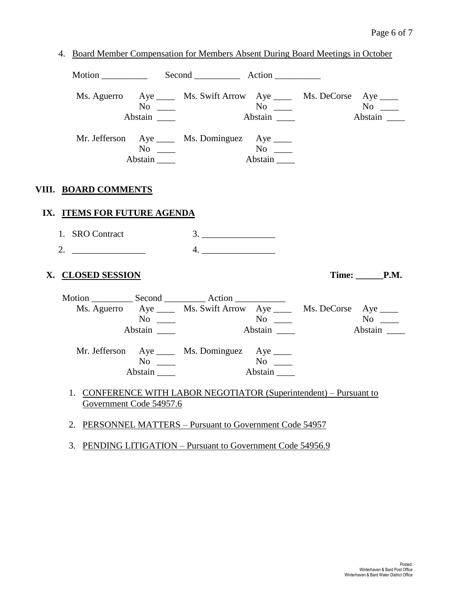|                             | No $\qquad$<br>Abstain                                                                             | Ms. Aguerro Aye ______ Ms. Swift Arrow Aye ______ Ms. DeCorse Aye _____ | $No \ \_$<br>Abstain                                   | $No \ \_$<br>Abstain |
|-----------------------------|----------------------------------------------------------------------------------------------------|-------------------------------------------------------------------------|--------------------------------------------------------|----------------------|
|                             | No $\qquad$<br>Abstain                                                                             | Mr. Jefferson Aye _____ Ms. Dominguez Aye _____                         | $\overline{N_{0}}$ $\overline{\phantom{0}}$<br>Abstain |                      |
| VIII. BOARD COMMENTS        |                                                                                                    |                                                                         |                                                        |                      |
| IX. ITEMS FOR FUTURE AGENDA |                                                                                                    |                                                                         |                                                        |                      |
| 1. SRO Contract             |                                                                                                    |                                                                         |                                                        |                      |
| 2.                          |                                                                                                    | 4.                                                                      |                                                        |                      |
| X. CLOSED SESSION           |                                                                                                    |                                                                         |                                                        | Time: P.M.           |
|                             |                                                                                                    |                                                                         |                                                        |                      |
|                             |                                                                                                    | Ms. Aguerro Aye ______ Ms. Swift Arrow Aye ______ Ms. DeCorse Aye _____ | $\overline{N_0}$ $\overline{\phantom{0}}$              |                      |
|                             | $No \ \_$                                                                                          |                                                                         |                                                        | No no                |
|                             |                                                                                                    |                                                                         |                                                        |                      |
|                             | Abstain _______                                                                                    |                                                                         | Abstain                                                | Abstain              |
|                             |                                                                                                    | Mr. Jefferson Aye _____ Ms. Dominguez Aye ____                          |                                                        |                      |
|                             | No $\frac{1}{\sqrt{1-\frac{1}{2}}\sqrt{1-\frac{1}{2}}\left(\frac{1}{\sqrt{1-\frac{1}{2}}}\right)}$ |                                                                         | $\overline{\text{No}}$                                 |                      |
|                             | Abstain                                                                                            |                                                                         | Abstain                                                |                      |

3. PENDING LITIGATION – Pursuant to Government Code 54956.9